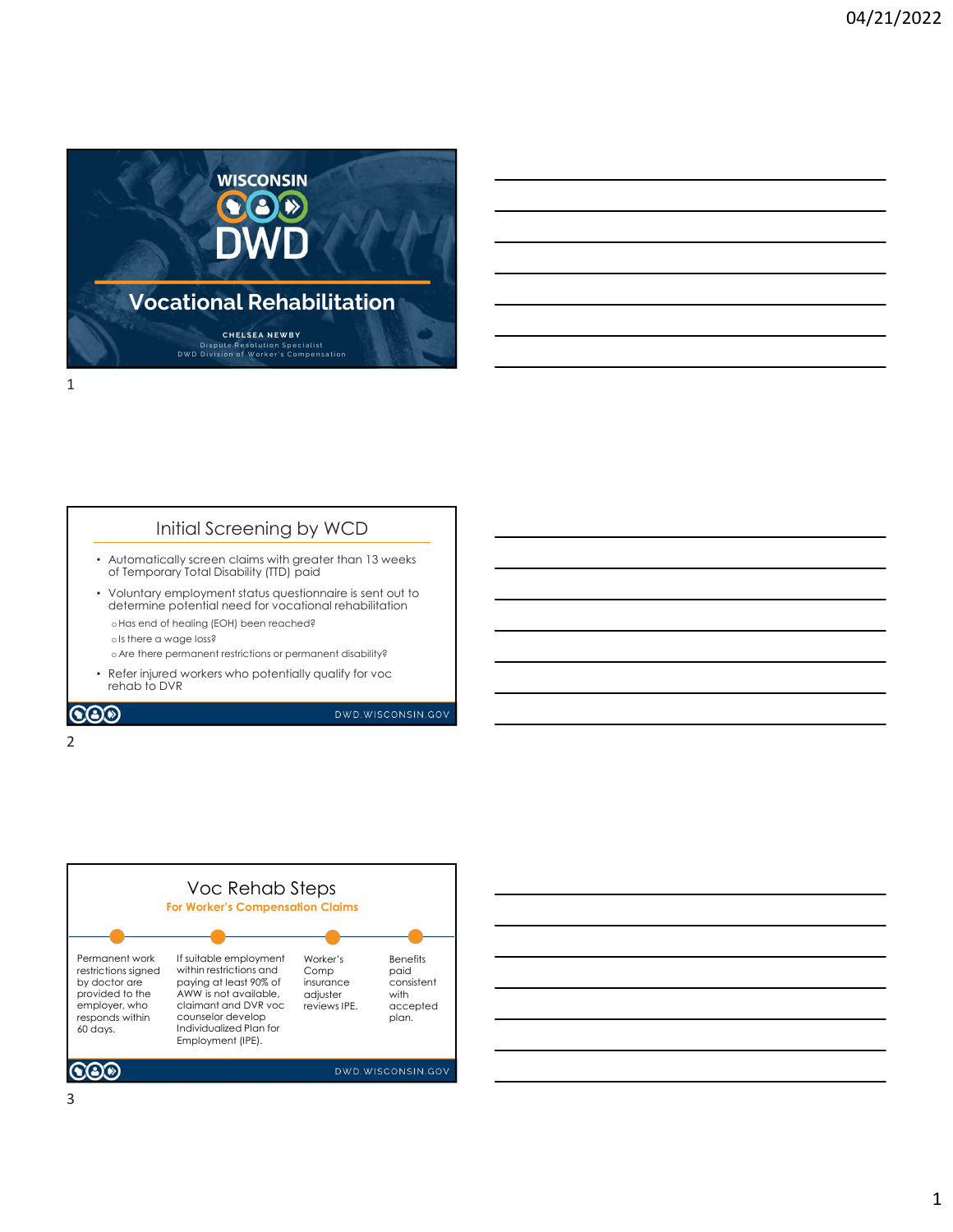

# Initial Screening by WCD

- Automatically screen claims with greater than 13 weeks of Temporary Total Disability (TTD) paid
- Voluntary employment status questionnaire is sent out to determine potential need for vocational rehabilitation oHas end of healing (EOH) been reached?

oIs there a wage loss?

o Are there permanent restrictions or permanent disability?

Refer injured workers who potentially qualify for voc rehab to DVR

**COD** 

DWD.WISCONSIN.GOV

### 2 and 2 and 2 and 2 and 2 and 2 and 2 and 2 and 2 and 2 and 2 and 2 and 2 and 2 and 2 and 2 and 2 and 2 and 2





3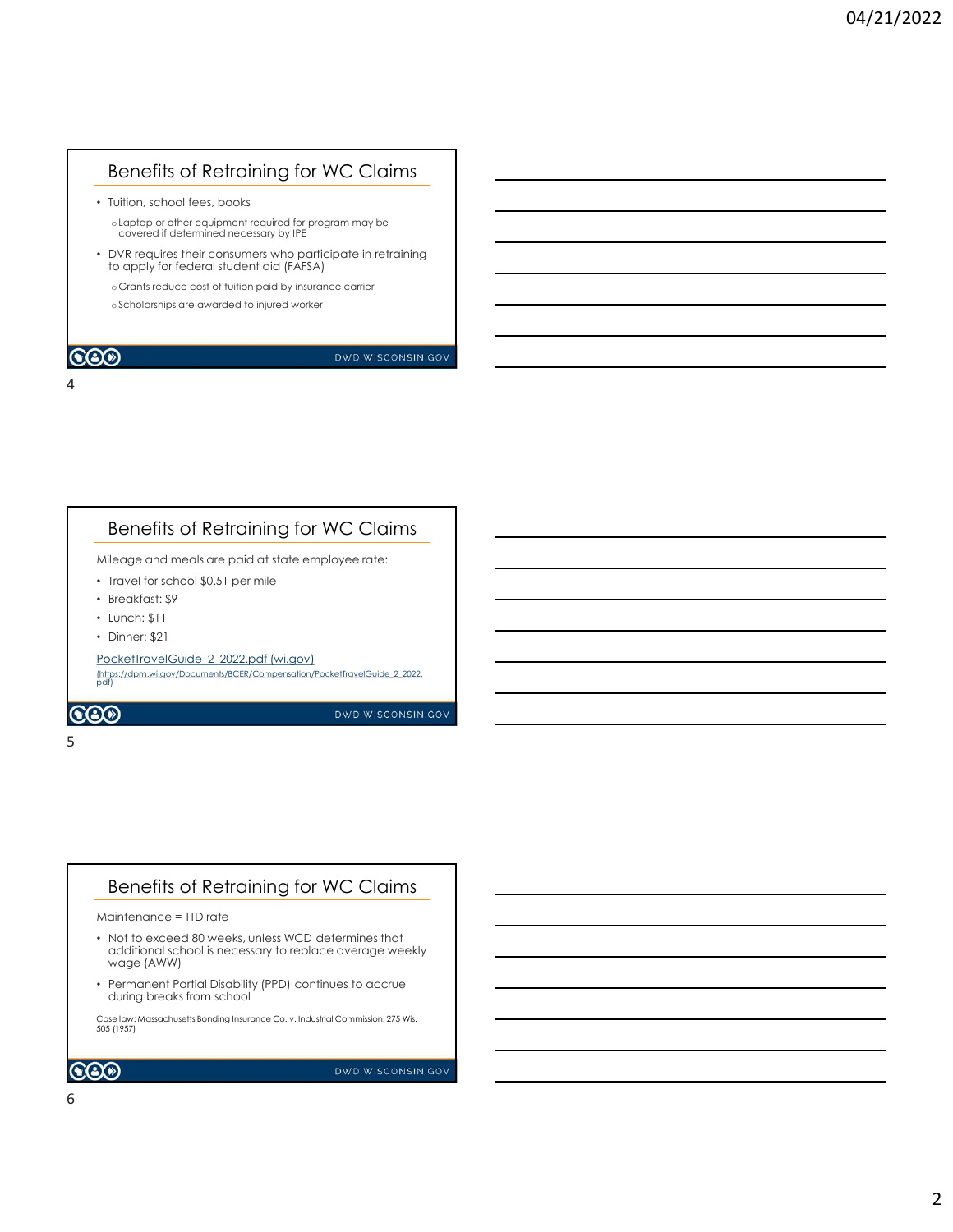# Benefits of Retraining for WC Claims

- Tuition, school fees, books
	- oLaptop or other equipment required for program may be covered if determined necessary by IPE
- DVR requires their consumers who participate in retraining to apply for federal student aid (FAFSA)

o Grants reduce cost of tuition paid by insurance carrier oScholarships are awarded to injured worker

## $\bigcircledS$

DWD.WISCONSIN.GOV

# Benefits of Retraining for WC Claims

Mileage and meals are paid at state employee rate:

• Travel for school \$0.51 per mile

4

- Breakfast: \$9
- Lunch: \$11
- Dinner: \$21

PocketTravelGuide\_2\_2022.pdf (wi.gov)

(https://dpm.wi.gov/Documents/BCER/Compensation/PocketTravelGuide\_2\_2022. pdf)

**CO** 

DWD.WISCONSIN.GOV

#### $5<sub>5</sub>$

# Benefits of Retraining for WC Claims

Maintenance = TTD rate

- Not to exceed 80 weeks, unless WCD determines that additional school is necessary to replace average weekly wage (AWW)
- Permanent Partial Disability (PPD) continues to accrue during breaks from school

Case law: Massachusetts Bonding Insurance Co. v. Industrial Commission. 275 Wis. 505 (1957)



DWD.WISCONSIN.GOV